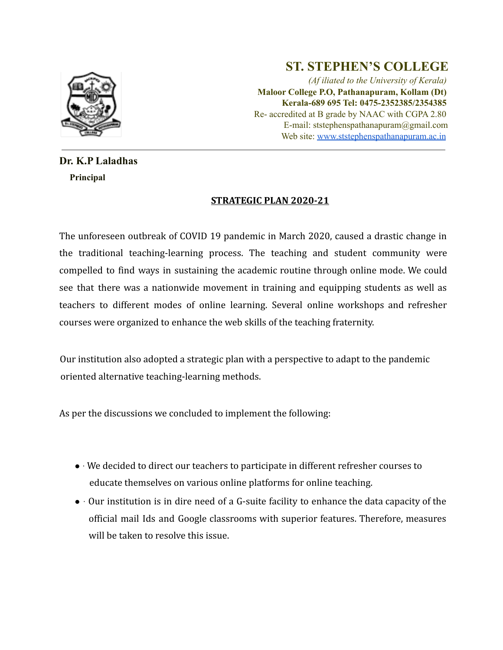

## **ST. STEPHEN'S COLLEGE**

*(Af iliated to the University of Kerala)* **Maloor College P.O, Pathanapuram, Kollam (Dt) Kerala-689 695 Tel: 0475-2352385/2354385** Re- accredited at B grade by NAAC with CGPA 2.80 E-mail: ststephenspathanapuram@gmail.com Web site: www.ststephenspathanapuram.ac.in

## **Dr. K.P Laladhas Principal**

## **STRATEGIC PLAN 2020-21**

The unforeseen outbreak of COVID 19 pandemic in March 2020, caused a drastic change in the traditional teaching-learning process. The teaching and student community were compelled to find ways in sustaining the academic routine through online mode. We could see that there was a nationwide movement in training and equipping students as well as teachers to different modes of online learning. Several online workshops and refresher courses were organized to enhance the web skills of the teaching fraternity.

Our institution also adopted a strategic plan with a perspective to adapt to the pandemic oriented alternative teaching-learning methods.

As per the discussions we concluded to implement the following:

- ∙ We decided to direct our teachers to participate in different refresher courses to educate themselves on various online platforms for online teaching.
- ∙ Our institution is in dire need of a G-suite facility to enhance the data capacity of the official mail Ids and Google classrooms with superior features. Therefore, measures will be taken to resolve this issue.